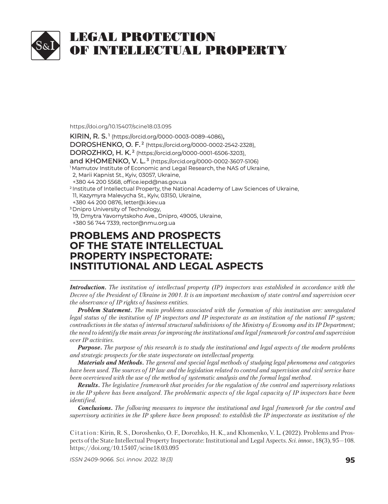

#### https://doi.org/10.15407/scine18.03.095

**KIRIN, R. S.<sup>1</sup> (https://orcid.org/0000-0003-0089-4086),** DOROSHENKO, O. F.<sup>2</sup> (https://orcid.org/0000-0002-2542-2328), DOROZHKO, H. K.<sup>2</sup> (https://orcid.org/0000-0001-6506-3203), and KHOMENKO, V. L.<sup>3</sup> (https://orcid.org/0000-0002-3607-5106) <sup>1</sup> Mamutov Institute of Economic and Legal Research, the NAS of Ukraine, 2, Marii Kapnist St., Kyiv, 03057, Ukraine, +380 44 200 5568, office.iepd@nas.gov.ua <sup>2</sup> Institute of Intellectual Property, the National Academy of Law Sciences of Ukraine, 11, Kazymyra Malevycha St., Kyiv, 03150, Ukraine, +380 44 200 0876, letter@i.kiev.ua +380 44 200 0876, <sup>3</sup> Dnipro University of Technology, 19, Dmytra Yavornytskoho Ave., Dnipro, 49005, Ukraine, +380 56 744 7339, rector@nmu.org.ua +380 56 744 7339, **PROBLEMS AND PROSPECTS ROBLEMS AND PROSPECTS**

# **OF THE STATE INTELLECTUAL F THE STATE INTELLECTUAL PROPERTY INSPECTORATE: ROPERTY INSPECTORATE: INSTITUTIONAL AND LEGAL ASPECTS**

*Introduction. The institution of intellectual property (IP) inspectors was established in accordance with the Decree of the President of Ukraine in 2001. It is an important mechanism of state control and supervision over the observance of IP rights of business entities.* 

*Problem Statement. The main problems associated with the formation of this institution are: unregulated legal status of the institution of IP inspectors and IP inspectorate as an institution of the national IP system; contradictions in the status of internal structural subdivisions of the Ministry of Economy and its IP Department; the need to identify the main areas for improving the institutional and legal framework for control and supervision over IP activities.*

*Purpose. The purpose of this research is to study the institutional and legal aspects of the modern problems and strategic prospects for the state inspectorate on intellectual property.*

*Materials and Methods. The general and special legal methods of studying legal phenomena and categories have been used. The sources of IP law and the legislation related to control and supervision and civil service have been overviewed with the use of the method of systematic analysis and the formal legal method.*

*Results. The legislative framework that provides for the regulation of the control and supervisory relations in the IP sphere has been analyzed. The problematic aspects of the legal capacity of IP inspectors have been identified.* 

*Conclusions. The following measures to improve the institutional and legal framework for the control and supervisory activities in the IP sphere have been proposed: to establish the IP inspectorate as institution of the* 

Citation: Kirin, R. S., Doroshenko, O. F., Dorozhko, H. K., and Khomenko, V. L. (2022). Problems and Prospects of the State Intellectual Property Inspectorate: Institutional and Legal Aspects. *Sci. in nov.*, 18(3), 95—108. https://doi.org/10.15407/scine18.03.095

*ISSN 2409-9066. Sci. innov.* 2022. 18 (3) **95**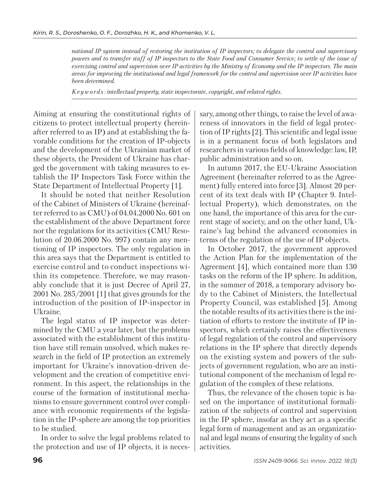*national IP system instead of restoring the institution of IP inspectors; to delegate the control and supervisory powers and to transfer staff of IP inspectors to the State Food and Consumer Service; to settle of the issue of exercising control and supervision over IP activities by the Ministry of Economy and the IP inspectors. The main areas for improving the institutional and legal framework for the control and supervision over IP activities have been determined.*

*K e y w o r d s : intellectual property, state inspectorate, copyright, and related rights.*

Aiming at ensuring the constitutional rights of citizens to protect intellectual property (hereinafter referred to as IP) and at establishing the favorable conditions for the creation of IP-objects and the development of the Ukrainian market of these objects, the President of Ukraine has charged the government with taking measures to establish the IP Inspectors Task Force within the State Department of Intellectual Property [1].

It should be noted that neither Resolution of the Cabinet of Ministers of Ukraine (hereinafter referred to as CMU) of 04.04.2000 No. 601 on the establishment of the above Department force nor the regulations for its activities (CMU Resolution of 20.06.2000 No. 997) contain any mentioning of IP inspectors. The only regulation in this area says that the Department is entitled to exercise control and to conduct inspections within its competence. Therefore, we may reasonably conclude that it is just Decree of April 27, 2001 No. 285/2001 [1] that gives grounds for the introduction of the position of IP-inspector in Ukraine.

The legal status of IP inspector was determined by the CMU a year later, but the problems associated with the establishment of this institution have still remain unsolved, which makes research in the field of IP protection an extremely important for Ukraine's innovation-driven development and the creation of competitive environment. In this aspect, the relationships in the course of the formation of institutional mechanisms to ensure government control over compliance with economic requirements of the legislation in the IP-sphere are among the top priorities to be studied.

In order to solve the legal problems related to the protection and use of IP objects, it is necessary, among other things, to raise the level of awareness of innovators in the field of legal protection of IP rights [2]. This scientific and legal issue is in a permanent focus of both legislators and researchers in various fields of knowledge: law, IP, public administration and so on.

In autumn 2017, the EU-Ukraine Association Agreement (hereinafter referred to as the Agreement) fully entered into force [3]. Almost 20 percent of its text deals with IP (Chapter 9. Intellectual Property), which demonstrates, on the one hand, the importance of this area for the current stage of society, and on the other hand, Ukraine's lag behind the advanced economies in terms of the regulation of the use of IP objects.

In October 2017, the government approved the Action Plan for the implementation of the Agreement [4], which contained more than 130 tasks on the reform of the IP sphere. In addition, in the summer of 2018, a temporary advisory body to the Cabinet of Ministers, the Intellectual Property Council, was established [5]. Among the notable results of its activities there is the initiation of efforts to restore the institute of IP inspectors, which certainly raises the effectiveness of legal regulation of the control and supervisory relations in the IP sphere that directly depends on the existing system and powers of the subjects of government regulation, who are an institutional component of the mechanism of legal regulation of the complex of these relations.

Thus, the relevance of the chosen topic is based on the importance of institutional formalization of the subjects of control and supervision in the IP sphere, insofar as they act as a specific legal form of management and as an organizational and legal means of ensuring the legality of such activities.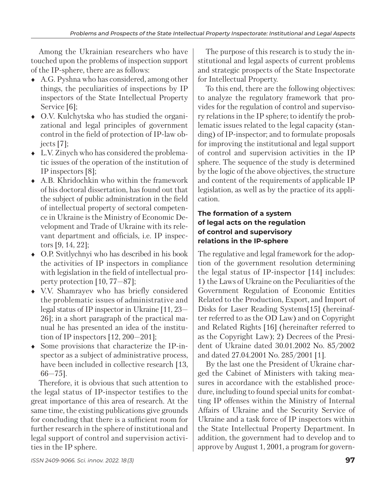Among the Ukrainian researchers who have touched upon the problems of inspection support of the IP-sphere, there are as follows:

- А.G. Pyshna who has considered, among other things, the peculiarities of inspections by IP inspectors of the State Intellectual Property Service [6];
- О.V. Kulchytska who has studied the organizational and legal principles of government control in the field of protection of IP-law objects [7];
- $\bullet$  L.V. Zinych who has considered the problematic issues of the operation of the institution of IP inspectors [8];
- А.В. Khridochkin who within the framework of his doctoral dissertation, has found out that the subject of public administration in the field of intellectual property of sectoral competence in Ukraine is the Ministry of Economic Development and Trade of Ukraine with its relevant department and officials, i.e. IP inspectors [9, 14, 22];
- O.P. Svitlychnyi who has described in his book the activities of IP inspectors in compliance with legislation in the field of intellectual property protection [10, 77—87];
- V.V. Shamrayev who has briefly considered the problematic issues of administrative and le gal status of IP inspector in Ukraine [11, 23— 26]; in a short paragraph of the practical manual he has presented an idea of the institution of IP inspectors [12, 200—201];
- Some provisions that characterize the IP-inspector as a subject of administrative process, have been included in collective research [13, 66—75].

Therefore, it is obvious that such attention to the legal status of IP-inspector testifies to the great importance of this area of research. At the same time, the existing publications give grounds for concluding that there is a sufficient room for further research in the sphere of institutional and legal support of control and supervision activities in the IP sphere.

The purpose of this research is to study the institutional and legal aspects of current problems and strategic prospects of the State Inspectorate for Intellectual Property.

To this end, there are the following objectives: to analyze the regulatory framework that provides for the regulation of control and supervisory relations in the IP sphere; to identify the problematic issues related to the legal capacity (standing) of IP-inspector; and to formulate proposals for improving the institutional and legal support of control and supervision activities in the IP sphere. The sequence of the study is determined by the logic of the above objectives, the structure and content of the requirements of applicable IP legislation, as well as by the practice of its application.

#### **The formation of a system of legal acts on the regulation of control and supervisory relations in the IP-sphere**

The regulative and legal framework for the adoption of the government resolution determining the legal status of IP-inspector [14] includes: 1) the Laws of Ukraine on the Peculiarities of the Government Regulation of Economic Entities Related to the Production, Export, and Import of Disks for Laser Reading Systems[15] (hereinafter referred to as the OD Law) and on Copyright and Related Rights [16] (hereinafter referred to as the Copyright Law); 2) Decrees of the President of Ukraine dated 30.01.2002 No. 85/2002 and dated 27.04.2001 No. 285/2001 [1].

By the last one the President of Ukraine charged the Cabinet of Ministers with taking measures in accordance with the established procedure, including to found special units for combatting IP offenses within the Ministry of Internal Affairs of Ukraine and the Security Service of Ukraine and a task force of IP inspectors within the State Intellectual Property Department. In addition, the government had to develop and to approve by August 1, 2001, a program for govern-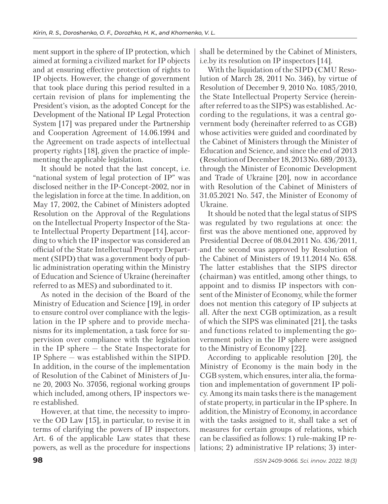ment support in the sphere of IP protection, which aimed at forming a civilized market for IP objects and at ensuring effective protection of rights to IP objects. However, the change of government that took place during this period resulted in a certain revision of plans for implementing the President's vision, as the adopted Concept for the Development of the National IP Legal Protection System [17] was prepared under the Partnership and Cooperation Agreement of 14.06.1994 and the Agreement on trade aspects of intellectual property rights [18], given the practice of implementing the applicable legislation.

It should be noted that the last concept, i.e. "national system of legal protection of IP" was disclosed neither in the IP-Concept-2002, nor in the legislation in force at the time. In addition, on May 17, 2002, the Cabinet of Ministers adopted Resolution on the Approval of the Regulations on the Intellectual Property Inspector of the State Intellectual Property Department [14], according to which the IP inspector was considered an official of the State Intellectual Property Department (SIPD) that was a government body of public administration operating within the Ministry of Education and Science of Ukraine (hereinafter referred to as MES) and subordinated to it.

As noted in the decision of the Board of the Ministry of Education and Science [19], in order to ensure control over compliance with the legislation in the IP sphere and to provide mechanisms for its implementation, a task force for supervision over compliance with the legislation in the IP sphere — the State Inspectorate for IP Sphere  $-$  was established within the SIPD. In addition, in the course of the implementation of Resolution of the Cabinet of Ministers of June 20, 2003 No. 37056, regional working groups which included, among others, IP inspectors were established.

However, at that time, the necessity to improve the OD Law [15], in particular, to revise it in terms of clarifying the powers of IP inspectors. Art. 6 of the applicable Law states that these powers, as well as the procedure for inspections shall be determined by the Cabinet of Ministers, i.e.by its resolution on IP inspectors [14].

With the liquidation of the SIPD (CMU Resolution of March 28, 2011 No. 346), by virtue of Resolution of December 9, 2010 No. 1085/2010, the State Intellectual Property Service (hereinafter referred to as the SIPS) was established. According to the regulations, it was a central government body (hereinafter referred to as CGB) whose activities were guided and coordinated by the Cabinet of Ministers through the Minister of Education and Science, and since the end of 2013 (Resolution of December 18, 2013 No. 689/2013), through the Minister of Economic Development and Trade of Ukraine [20], now in accordance with Resolution of the Cabinet of Ministers of 31.05.2021 No. 547, the Minister of Economy of Ukraine.

It should be noted that the legal status of SIPS was regulated by two regulations at once: the first was the above mentioned one, approved by Presidential Decree of 08.04.2011 No. 436/2011, and the second was approved by Resolution of the Cabinet of Ministers of 19.11.2014 No. 658. The latter establishes that the SIPS director (chairman) was entitled, among other things, to appoint and to dismiss IP inspectors with consent of the Minister of Economy, while the former does not mention this category of IP subjects at all. After the next CGB optimization, as a result of which the SIPS was eliminated [21], the tasks and functions related to implementing the government policy in the IP sphere were assigned to the Ministry of Economy [22].

According to applicable resolution [20], the Ministry of Economy is the main body in the CGB system, which ensures, inter alia, the formation and implementation of government IP policy. Among its main tasks there is the management of state property, in particular in the IP sphere. In addition, the Ministry of Economy, in accordance with the tasks assigned to it, shall take a set of measures for certain groups of relations, which can be classified as follows: 1) rule-making IP relations; 2) administrative IP relations; 3) inter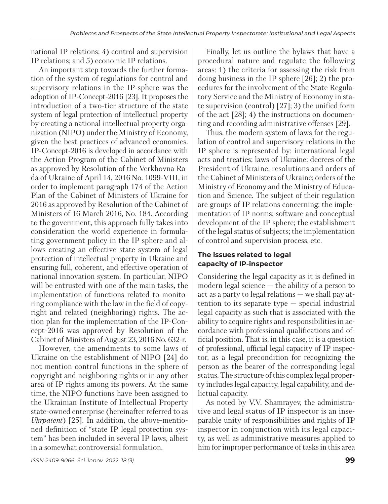national IP relations; 4) control and supervision IP relations; and 5) economic IP relations.

An important step towards the further formation of the system of regulations for control and supervisory relations in the IP-sphere was the adoption of IP-Concept-2016 [23]. It proposes the introduction of a two-tier structure of the state system of legal protection of intellectual property by creating a national intellectual property organization (NIPO) under the Ministry of Economy, given the best practices of advanced economies. IP-Concept-2016 is developed in accordance with the Action Program of the Cabinet of Ministers as approved by Resolution of the Verkhovna Rada of Ukraine of April 14, 2016 No. 1099-VIII, in order to implement paragraph 174 of the Action Plan of the Cabinet of Ministers of Ukraine for 2016 as approved by Resolution of the Cabinet of Ministers of 16 March 2016, No. 184. According to the government, this approach fully takes into consideration the world experience in formulating government policy in the IP sphere and allows creating an effective state system of legal protection of intellectual property in Ukraine and ensuring full, coherent, and effective operation of national innovation system. In particular, NIPO will be entrusted with one of the main tasks, the implementation of functions related to monitoring compliance with the law in the field of copyright and related (neighboring) rights. The action plan for the implementation of the IP-Concept-2016 was approved by Resolution of the Ca binet of Ministers of August 23, 2016 No. 632-r.

However, the amendments to some laws of Ukraine on the establishment of NIPO [24] do not mention control functions in the sphere of copyright and neighboring rights or in any other area of IP rights among its powers. At the same time, the NIPO functions have been assigned to the Ukrainian Institute of Intellectual Property state-owned enterprise (hereinafter referred to as *Ukrpatent*) [25]. In addition, the above-mentioned definition of "state IP legal protection system" has been included in several IP laws, albeit in a somewhat controversial formulation.

Finally, let us outline the bylaws that have a procedural nature and regulate the following areas: 1) the criteria for assessing the risk from doing business in the IP sphere [26]; 2) the procedures for the involvement of the State Regulatory Service and the Ministry of Economy in state supervision (control) [27]; 3) the unified form of the act [28]; 4) the instructions on documenting and recording administrative offenses [29].

Thus, the modern system of laws for the regulation of control and supervisory relations in the IP sphere is represented by: international legal acts and treaties; laws of Ukraine; decrees of the President of Ukraine, resolutions and orders of the Cabinet of Ministers of Ukraine; orders of the Ministry of Economy and the Ministry of Education and Science. The subject of their regulation are groups of IP relations concerning: the implementation of IP norms; software and conceptual development of the IP sphere; the establishment of the legal status of subjects; the implementation of control and supervision process, etc.

## **The issues related to legal capacity of IP-inspector**

Considering the legal capacity as it is defined in modern legal science — the ability of a person to act as a party to legal relations — we shall pay attention to its separate type — special industrial legal capacity as such that is associated with the ability to acquire rights and responsibilities in accordance with professional qualifications and official position. That is, in this case, it is a question of professional, official legal capacity of IP inspector, as a legal precondition for recognizing the person as the bearer of the corresponding legal status. The structure of this complex legal property includes legal capacity, legal capability, and delictual capacity.

As noted by V.V. Shamrayev, the administrative and legal status of IP inspector is an inseparable unity of responsibilities and rights of IP inspector in conjunction with its legal capacity, as well as administrative measures applied to him for improper performance of tasks in this area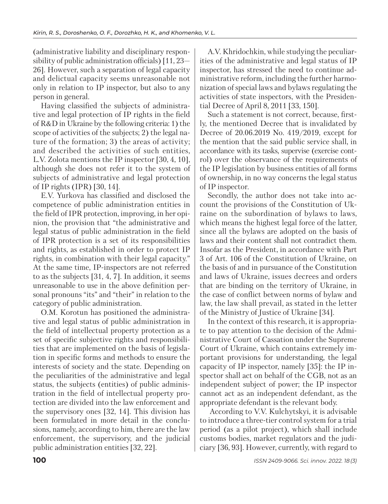(administrative liability and disciplinary responsibility of public administration officials) [11, 23— 26]. However, such a separation of legal capacity and delictual capacity seems unreasonable not only in relation to IP inspector, but also to any person in general.

Having classified the subjects of administrative and legal protection of IP rights in the field of R&D in Ukraine by the following criteria: 1) the scope of activities of the subjects; 2) the legal nature of the formation; 3) the areas of activity; and described the activities of such entities, L.V. Zolota mentions the IP inspector [30, 4, 10], although she does not refer it to the system of subjects of administrative and legal protection of IP rights (IPR) [30, 14].

E.V. Yurkova has classified and disclosed the competence of public administration entities in the field of IPR protection, improving, in her opinion, the provision that "the administrative and legal status of public administration in the field of IPR protection is a set of its responsibilities and rights, as established in order to protect IP rights, in combination with their legal capacity." At the same time, IP-inspectors are not referred to as the subjects [31, 4, 7]. In addition, it seems unreasonable to use in the above definition personal pronouns "its" and "their" in relation to the category of public administration.

O.M. Korotun has positioned the administrative and legal status of public administration in the field of intellectual property protection as a set of specific subjective rights and responsibilities that are implemented on the basis of legislation in specific forms and methods to ensure the interests of society and the state. Depending on the peculiarities of the administrative and legal status, the subjects (entities) of public administration in the field of intellectual property protection are divided into the law enforcement and the supervisory ones [32, 14]. This division has been formulated in more detail in the conclusions, namely, according to him, there are the law enforcement, the supervisory, and the judicial public administration entities [32, 22].

A.V. Khridochkin, while studying the peculiarities of the administrative and legal status of IP inspector, has stressed the need to continue administrative reform, including the further harmonization of special laws and bylaws regulating the activities of state inspectors, with the Presidential Decree of April 8, 2011 [33, 150].

Such a statement is not correct, because, firstly, the mentioned Decree that is invalidated by Decree of 20.06.2019 No. 419/2019, except for the mention that the said public service shall, in accordance with its tasks, supervise (exercise control) over the observance of the requirements of the IP legislation by business entities of all forms of ownership, in no way concerns the legal status of IP inspector.

Secondly, the author does not take into account the provisions of the Constitution of Ukraine on the subordination of bylaws to laws, which means the highest legal force of the latter, since all the bylaws are adopted on the basis of laws and their content shall not contradict them. Insofar as the President, in accordance with Part 3 of Art. 106 of the Constitution of Ukraine, on the basis of and in pursuance of the Constitution and laws of Ukraine, issues decrees and orders that are binding on the territory of Ukraine, in the case of conflict between norms of bylaw and law, the law shall prevail, as stated in the letter of the Ministry of Justice of Ukraine [34].

In the context of this research, it is appropriate to pay attention to the decision of the Administrative Court of Cassation under the Supreme Court of Ukraine, which contains extremely important provisions for understanding, the legal capacity of IP inspector, namely [35]: the IP inspector shall act on behalf of the CGB, not as an independent subject of power; the IP inspector cannot act as an independent defendant, as the appropriate defendant is the relevant body.

 According to V.V. Kulchytskyi, it is advisable to introduce a three-tier control system for a trial period (as a pilot project), which shall include customs bodies, market regulators and the judiciary [36, 93]. However, currently, with regard to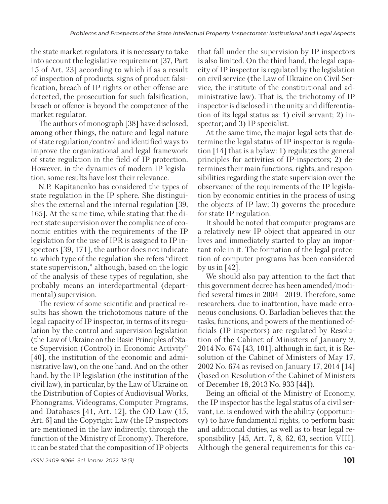the state market regulators, it is necessary to take into account the legislative requirement [37, Part 15 of Art. 23] according to which if as a result of inspection of products, signs of product falsification, breach of IP rights or other offense are detected, the prosecution for such falsification, breach or offence is beyond the competence of the market regulator.

The authors of monograph [38] have disclosed, among other things, the nature and legal nature of state regulation/control and identified ways to improve the organizational and legal framework of state regulation in the field of IP protection. However, in the dynamics of modern IP legislation, some results have lost their relevance.

 N.P. Kapitanenko has considered the types of state regulation in the IP sphere. She distinguishes the external and the internal regulation [39, 165]. At the same time, while stating that the direct state supervision over the compliance of economic entities with the requirements of the IP legislation for the use of IPR is assigned to IP inspectors [39, 171], the author does not indicate to which type of the regulation she refers "direct" state supervision," although, based on the logic of the analysis of these types of regulation, she probably means an interdepartmental (departmental) supervision.

The review of some scientific and practical results has shown the trichotomous nature of the legal capacity of IP inspector, in terms of its regulation by the control and supervision legislation (the Law of Ukraine on the Basic Principles of State Supervision (Control) in Economic Activity" [40], the institution of the economic and administrative law), on the one hand. And on the other hand, by the IP legislation (the institution of the civil law), in particular, by the Law of Ukraine on the Distribution of Copies of Audiovisual Works, Phonograms, Videograms, Computer Programs, and Databases [41, Art. 12], the OD Law (15, Art. 6] and the Copyright Law (the IP inspectors are mentioned in the law indirectly, through the function of the Ministry of Economy). Therefore, it can be stated that the composition of IP objects that fall under the supervision by IP inspectors is also limited. On the third hand, the legal capacity of IP inspector is regulated by the legislation on civil service (the Law of Ukraine on Civil Service, the institute of the constitutional and administrative law). That is, the trichotomy of IP inspector is disclosed in the unity and differentiation of its legal status as: 1) civil servant; 2) inspector; and 3) IP specialist.

 At the same time, the major legal acts that determine the legal status of IP inspector is regulation [14] that is a bylaw: 1) regulates the general principles for activities of IP-inspectors; 2) determines their main functions, rights, and responsibilities regarding the state supervision over the observance of the requirements of the IP legislation by economic entities in the process of using the objects of IP law; 3) governs the procedure for state IP regulation.

It should be noted that computer programs are a relatively new IP object that appeared in our lives and immediately started to play an important role in it. The formation of the legal protection of computer programs has been considered by us in  $[42]$ .

We should also pay attention to the fact that this government decree has been amended/modified several times in 2004—2019. Therefore, some researchers, due to inattention, have made erroneous conclusions. O. Barladian believes that the tasks, functions, and powers of the mentioned officials (IP inspectors) are regulated by Resolution of the Cabinet of Ministers of January 9, 2014 No. 674 [43, 101], although in fact, it is Resolution of the Cabinet of Ministers of May 17, 2002 No. 674 as revised on January 17, 2014 [14] (based on Resolution of the Cabinet of Ministers of December 18, 2013 No. 933 [44]).

Being an official of the Ministry of Economy, the IP inspector has the legal status of a civil servant, i.e. is endowed with the ability (opportunity) to have fundamental rights, to perform basic and additional duties, as well as to bear legal responsibility [45, Art. 7, 8, 62, 63, section VIII]. Although the general requirements for this ca-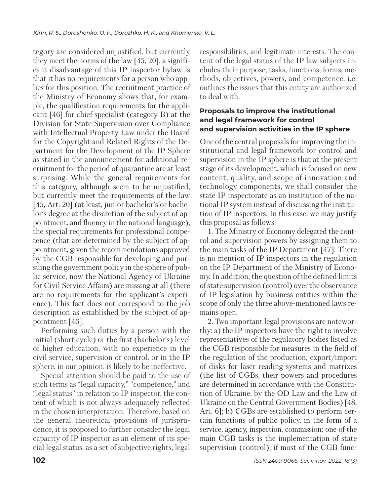tegory are considered unjustified, but currently they meet the norms of the law [45, 20], a significant disadvantage of this IP inspector bylaw is that it has no requirements for a person who applies for this position. The recruitment practice of the Ministry of Economy shows that, for example, the qualification requirements for the applicant [46] for chief specialist (category B) at the Division for State Supervision over Compliance with Intellectual Property Law under the Board for the Copyright and Related Rights of the Department for the Development of the IP Sphere as stated in the announcement for additional recruitment for the period of quarantine are at least surprising. While the general requirements for this category, although seem to be unjustified, but currently meet the requirements of the law [45, Art. 20] (at least, junior bachelor's or bachelor's degree at the discretion of the subject of appointment, and fluency in the national language), the special requirements for professional competence (that are determined by the subject of appointment, given the recommendations approved by the CGB responsible for developing and pursuing the government policy in the sphere of public service, now the National Agency of Ukraine for Civil Service Affairs) are missing at all (there are no requirements for the applicant's experience). This fact does not correspond to the job description as established by the subject of appointment [46].

Performing such duties by a person with the initial (short cycle) or the first (bachelor's) level of higher education, with no experience in the civil service, supervision or control, or in the IP sphere, in our opinion, is likely to be ineffective.

Special attention should be paid to the use of such terms as "legal capacity," "competence," and "legal status" in relation to IP inspector, the content of which is not always adequately reflected in the chosen interpretation. Therefore, based on the general theoretical provisions of jurisprudence, it is proposed to further consider the legal capacity of IP inspector as an element of its special legal status, as a set of subjective rights, legal responsibilities, and legitimate interests. The content of the legal status of the IP law subjects includes their purpose, tasks, functions, forms, methods, objectives, powers, and competence, i.e. out lines the issues that this entity are authorized to deal with.

## **Proposals to improve the institutional and legal framework for control and supervision activities in the IP sphere**

One of the central proposals for improving the institutional and legal framework for control and supervision in the IP sphere is that at the present stage of its development, which is focused on new content, quality, and scope of innovation and tech nology components, we shall consider the state IP inspectorate as an institution of the national IP system instead of discussing the institution of IP inspectors. In this case, we may justify this proposal as follows.

1. The Ministry of Economy delegated the control and supervision powers by assigning them to the main tasks of the IP Department [47]. There is no mention of IP inspectors in the regulation on the IP Department of the Ministry of Economy. In addition, the question of the defined limits of state supervision (control) over the observance of IP legislation by business entities within the scope of only the three above-mentioned laws remains open.

2. Two important legal provisions are noteworthy: a) the IP inspectors have the right to involve representatives of the regulatory bodies listed as the CGB responsible for measures in the field of the regulation of the production, export/import of disks for laser reading systems and matrixes (the list of CGBs, their powers and procedures are determined in accordance with the Constitution of Ukraine, by the OD Law and the Law of Ukraine on the Central Government Bodies) [48, Art. 6]; b) CGBs are established to perform certain functions of public policy, in the form of a service, agency, inspection, commission; one of the main CGB tasks is the implementation of state supervision (control); if most of the CGB func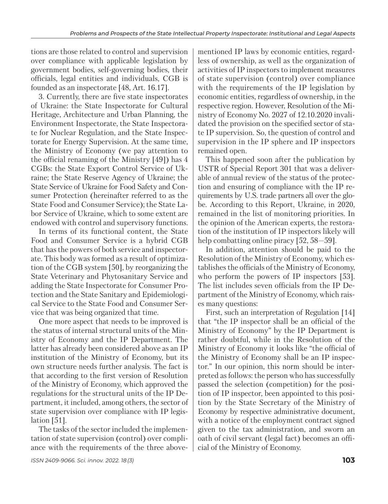tions are those related to control and supervision over compliance with applicable legislation by government bodies, self-governing bodies, their officials, legal entities and individuals, CGB is founded as an inspectorate [48, Art. 16.17].

3. Currently, there are five state inspectorates of Ukraine: the State Inspectorate for Cultural Heritage, Architecture and Urban Planning, the Environment Inspectorate, the State Inspectorate for Nuclear Regulation, and the State Inspectorate for Energy Supervision. At the same time, the Ministry of Economy (we pay attention to the official renaming of the Ministry [49]) has 4 CGBs: the State Export Control Service of Ukraine; the State Reserve Agency of Ukraine; the State Service of Ukraine for Food Safety and Consumer Protection (hereinafter referred to as the State Food and Consumer Service); the State Labor Service of Ukraine, which to some extent are endowed with control and supervisory functions.

In terms of its functional content, the State Food and Consumer Service is a hybrid CGB that has the powers of both service and inspectorate. This body was formed as a result of optimization of the CGB system [50], by reorganizing the State Veterinary and Phytosanitary Service and adding the State Inspectorate for Consumer Protection and the State Sanitary and Epidemiological Service to the State Food and Consumer Service that was being organized that time.

One more aspect that needs to be improved is the status of internal structural units of the Ministry of Economy and the IP Department. The latter has already been considered above as an IP institution of the Ministry of Economy, but its own structure needs further analysis. The fact is that according to the first version of Resolution of the Ministry of Economy, which approved the regulations for the structural units of the IP Department, it included, among others, the sector of state supervision over compliance with IP legislation [51].

The tasks of the sector included the implementation of state supervision (control) over compliance with the requirements of the three abovementioned IP laws by economic entities, regardless of ownership, as well as the organization of activities of IP inspectors to implement measures of state supervision (control) over compliance with the requirements of the IP legislation by economic entities, regardless of ownership, in the respective region. However, Resolution of the Ministry of Economy No. 2027 of 12.10.2020 invalidated the provision on the specified sector of state IP supervision. So, the question of control and supervision in the IP sphere and IP inspectors remained open.

This happened soon after the publication by USTR of Special Report 301 that was a deliverable of annual review of the status of the protection and ensuring of compliance with the IP requirements by U.S. trade partners all over the globe. According to this Report, Ukraine, in 2020, remained in the list of monitoring priorities. In the opinion of the American experts, the restoration of the institution of IP inspectors likely will help combatting online piracy [52, 58–59].

In addition, attention should be paid to the Resolution of the Ministry of Economy, which establishes the officials of the Ministry of Economy, who perform the powers of IP inspectors [53]. The list includes seven officials from the IP Department of the Ministry of Economy, which raises many questions:

First, such an interpretation of Regulation [14] that "the IP inspector shall be an official of the Ministry of Economy" by the IP Department is rather doubtful, while in the Resolution of the Ministry of Economy it looks like "the official of the Ministry of Economy shall be an IP inspector." In our opinion, this norm should be interpreted as follows: the person who has successfully passed the selection (competition) for the position of IP inspector, been appointed to this position by the State Secretary of the Ministry of Economy by respective administrative document, with a notice of the employment contract signed given to the tax administration, and sworn an oath of civil servant (legal fact) becomes an official of the Ministry of Economy.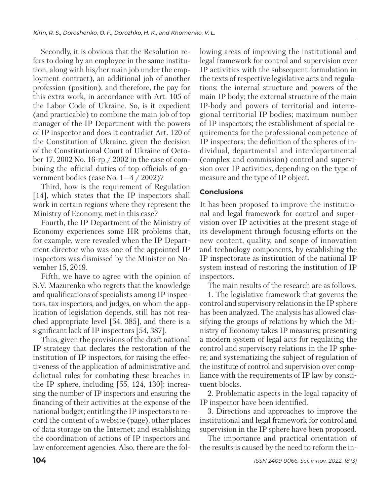Secondly, it is obvious that the Resolution refers to doing by an employee in the same institution, along with his/her main job under the employment contract), an additional job of another profession (position), and therefore, the pay for this extra work, in accordance with Art. 105 of the Labor Code of Ukraine. So, is it expedient (and practicable) to combine the main job of top manager of the IP Department with the powers of IP inspector and does it contradict Art. 120 of the Constitution of Ukraine, given the decision of the Constitutional Court of Ukraine of October 17, 2002 No. 16-rp / 2002 in the case of combining the official duties of top officials of government bodies (case No. 1—4 / 2002)?

Third, how is the requirement of Regulation [14], which states that the IP inspectors shall work in certain regions where they represent the Ministry of Economy, met in this case?

Fourth, the IP Department of the Ministry of Economy experiences some HR problems that, for example, were revealed when the IP Department director who was one of the appointed IP inspectors was dismissed by the Minister on November 15, 2019.

Fifth, we have to agree with the opinion of S.V. Mazurenko who regrets that the knowledge and qualifications of specialists among IP inspectors, tax inspectors, and judges, on whom the application of legislation depends, still has not reached appropriate level [54, 385], and there is a significant lack of IP inspectors [54, 387].

Thus, given the provisions of the draft national IP strategy that declares the restoration of the institution of IP inspectors, for raising the effectiveness of the application of administrative and delictual rules for combating these breaches in the IP sphere, including [55, 124, 130]: increasing the number of IP inspectors and ensuring the financing of their activities at the expense of the national budget; entitling the IP inspectors to record the content of a website (page), other places of data storage on the Internet; and establishing the coordination of actions of IP inspectors and law enforcement agencies. Also, there are the following areas of improving the institutional and legal framework for control and supervision over IP activities with the subsequent formulation in the texts of respective legislative acts and regulations: the internal structure and powers of the main IP body; the external structure of the main IP-body and powers of territorial and interregional territorial IP bodies; maximum number of IP inspectors; the establishment of special requirements for the professional competence of IP inspectors; the definition of the spheres of individual, departmental and interdepartmental (complex and commission) control and supervision over IP activities, depending on the type of measure and the type of IP object.

## **Conclusions**

It has been proposed to improve the institutional and legal framework for control and supervision over IP activities at the present stage of its development through focusing efforts on the new content, quality, and scope of innovation and technology components, by establishing the IP inspectorate as institution of the national IP system in stead of restoring the institution of IP inspectors.

The main results of the research are as follows. 1. The legislative framework that governs the control and supervisory relations in the IP sphere has been analyzed. The analysis has allowed classifying the groups of relations by which the Ministry of Economy takes IP measures; presenting a modern system of legal acts for regulating the control and supervisory relations in the IP sphere; and systematizing the subject of regulation of the institute of control and supervision over comp liance with the requirements of IP law by constituent blocks.

2. Problematic aspects in the legal capacity of IP inspector have been identified.

3. Directions and approaches to improve the institutional and legal framework for control and supervision in the IP sphere have been proposed.

The importance and practical orientation of the results is caused by the need to reform the in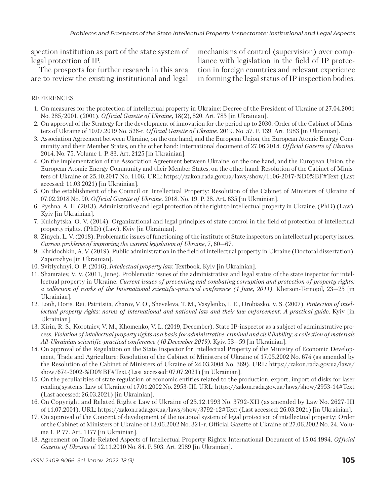spection institution as part of the state system of legal protection of IP.

The prospects for further research in this area are to review the existing institutional and legal

mechanisms of control (supervision) over compliance with legislation in the field of IP protection in foreign countries and relevant experience in forming the legal status of IP inspection bodies.

#### REFERENCES

- 1. On measures for the protection of intellectual property in Ukraine: Decree of the President of Ukraine of 27.04.2001 No. 285/2001. (2001). *Official Gazette of Ukraine,* 18(2), 820. Art. 783 [in Ukrainian].
- 2. On approval of the Strategy for the development of innovation for the period up to 2030: Order of the Cabinet of Ministers of Ukraine of 10.07.2019 No. 526-r. *Official Gazette of Ukraine.* 2019. No. 57. P. 139. Art. 1983 [in Ukrainian].
- 3. Association Agreement between Ukraine, on the one hand, and the European Union, the European Atomic Energy Community and their Member States, on the other hand: International document of 27.06.2014. *Official Gazette of Ukraine*. 2014. No. 75. Volume 1. P. 83. Art. 2125 [in Ukrainian].
- 4. On the implementation of the Association Agreement between Ukraine, on the one hand, and the European Union, the European Atomic Energy Community and their Member States, on the other hand: Resolution of the Cabinet of Ministers of Ukraine of 25.10.2017 No. 1106. URL: https://zakon.rada.gov.ua/laws/show/1106-2017-%D0%BF#Text (Last accessed: 11.03.2021) [in Ukrainian].
- 5. On the establishment of the Council on Intellectual Property: Resolution of the Cabinet of Ministers of Ukraine of 07.02.2018 No. 90. *Official Gazette of Ukraine*. 2018. No. 19. P. 28. Art. 635 [in Ukrainian].
- 6. Pyshna, A. H. (2013). Administrative and legal protection of the right to intellectual property in Ukraine. (PhD) (Law). Kyiv [in Ukrainian].
- 7. Kulchytska, O. V. (2014). Organizational and legal principles of state control in the field of protection of intellectual property rights. (PhD) (Law). Kyiv [in Ukrainian].
- 8. Zinych, L. V. (2018). Problematic issues of functioning of the institute of State inspectors on intellectual property issues. *Current problems of improving the current legislation of Ukraine,* 7, 60—67.
- 9. Khridochkin, A. V. (2019). Public administration in the field of intellectual property in Ukraine (Doctoral dissertation). Zaporozhye [in Ukrainian].
- 10. Svitlychnyi, O. P. (2016). *Intellectual property law*: Textbook. Kyiv [in Ukrainian].
- 11. Shamraiev, V. V. (2011, June). Problematic issues of the administrative and legal status of the state inspector for intellectual property in Ukraine. *Current issues of preventing and combating corruption and protection of property rights: a collection of works of the International scientific-practical conference (1 June, 2011)*. Kherson-Ternopil, 23—25 [in Ukrainian].
- 12. Lonh, Doris, Rei, Patritsiia, Zharov, V. O., Sheveleva, T. M., Vasylenko, I. E., Drobiazko, V. S. (2007). *Protection of intellectual property rights: norms of international and national law and their law enforcement: A practical guide*. Kyiv [in Ukrainian].
- 13. Kirin, R. S., Korotaiev, V. M., Khomenko, V. L. (2019, December). State IP-inspector as a subject of administrative process. *Violation of intellectual property rights as a basis for administrative, criminal and civil liability: a collection of materials All-Ukrainian scientific-practical conference (10 December 2019)*. Kyiv. 53—59 [in Ukrainian].
- 14. On approval of the Regulation on the State Inspector for Intellectual Property of the Ministry of Economic Development, Trade and Agriculture: Resolution of the Cabinet of Ministers of Ukraine of 17.05.2002 No. 674 (as amended by the Resolution of the Cabinet of Ministers of Ukraine of 24.03.2004 No. 369). URL: https://zakon.rada.gov.ua/laws/ show/674-2002-%D0%BF#Text (Last accessed: 07.07.2021) [in Ukrainian].
- 15. On the peculiarities of state regulation of economic entities related to the production, export, import of disks for laser reading systems: Law of Ukraine of 17.01.2002 No. 2953-III. URL: https://zakon.rada.gov.ua/laws/show/2953-14#Text (Last accessed: 26.03.2021) [in Ukrainian].
- 16. On Copyright and Related Rights: Law of Ukraine of 23.12.1993 No. 3792-XII (as amended by Law No. 2627-III of 11.07.2001). URL: https://zakon.rada.gov.ua/laws/show/3792-12#Text (Last accessed: 26.03.2021) [in Ukrainian].
- 17. On approval of the Concept of development of the national system of legal protection of intellectual property: Order of the Cabinet of Ministers of Ukraine of 13.06.2002 No. 321-r. Official Gazette of Ukraine of 27.06.2002 No. 24. Volume 1. P. 77. Art. 1177 [in Ukrainian].
- 18. Agreement on Trade-Related Aspects of Intellectual Property Rights: International Document of 15.04.1994. *Official Gazette of Ukraine* of 12.11.2010 No. 84. P. 503. Art. 2989 [in Ukrainian].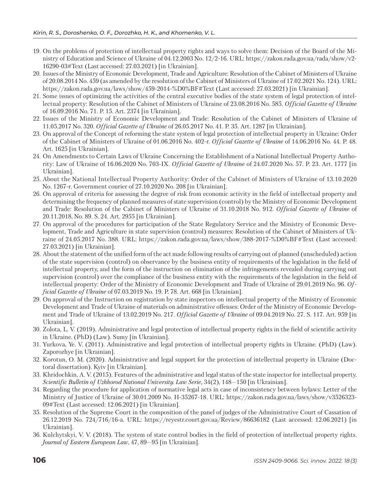- 19. On the problems of protection of intellectual property rights and ways to solve them: Decision of the Board of the Ministry of Education and Science of Ukraine of 04.12.2003 No. 12/2-16. URL: https://zakon.rada.gov.ua/rada/show/v2- 16290-03#Text (Last accessed: 27.03.2021) [in Ukrainian].
- 20. Issues of the Ministry of Economic Development, Trade and Agriculture: Resolution of the Cabinet of Ministers of Ukraine of 20.08.2014 No. 459 (as amended by the resolution of the Cabinet of Ministers of Ukraine of 17.02.2021 No. 124). URL: https://zakon.rada.gov.ua/laws/show/459-2014-%D0%BF#Text (Last accessed: 27.03.2021) [in Ukrainian].
- 21. Some issues of optimizing the activities of the central executive bodies of the state system of legal protection of intellectual property: Resolution of the Cabinet of Ministers of Ukraine of 23.08.2016 No. 585. *Official Gazette of Ukraine* of 16.09.2016 No. 71. P. 15. Art. 2374 [in Ukrainian].
- 22. Issues of the Ministry of Economic Development and Trade: Resolution of the Cabinet of Ministers of Ukraine of 11.05.2017 No. 320. *Official Gazette of Ukraine* of 26.05.2017 No. 41. P. 35. Art. 1287 [in Ukrainian].
- 23. On approval of the Concept of reforming the state system of legal protection of intellectual property in Ukraine: Order of the Cabinet of Ministers of Ukraine of 01.06.2016 No. 402-r. *Official Gazette of Ukraine* of 14.06.2016 No. 44. P. 48. Art. 1625 [in Ukrainian].
- 24. On Amendments to Certain Laws of Ukraine Concerning the Establishment of a National Intellectual Property Authority: Law of Ukraine of 16.06.2020 No. 703-IX. *Official Gazette of Ukraine* of 24.07.2020 No. 57. P. 23. Art. 1777 [in Ukrainian].
- 25. About the National Intellectual Property Authority: Order of the Cabinet of Ministers of Ukraine of 13.10.2020 No. 1267-r. Government courier of 27.10.2020 No. 208 [in Ukrainian].
- 26. On approval of criteria for assessing the degree of risk from economic activity in the field of intellectual property and determining the frequency of planned measures of state supervision (control) by the Ministry of Economic Development and Trade: Resolution of the Cabinet of Ministers of Ukraine of 31.10.2018 No. 912. *Official Gazette of Ukraine* of 20.11.2018, No. 89. S. 24. Art. 2955 [in Ukrainian].
- 27. On approval of the procedures for participation of the State Regulatory Service and the Ministry of Economic Development, Trade and Agriculture in state supervision (control) measures: Resolution of the Cabinet of Ministers of Ukraine of 24.05.2017 No. 388. URL: https://zakon.rada.gov.ua/laws/show/388-2017-%D0%BF#Text (Last accessed: 27.03.2021) [in Ukrainian].
- 28. About the statement of the unified form of the act made following results of carrying out of planned (unscheduled) action of the state supervision (control) on observance by the business entity of requirements of the legislation in the field of intellectual property, and the form of the instruction on elimination of the infringements revealed during carrying out supervision (control) over the compliance of the business entity with the requirements of the legislation in the field of intellectual property: Order of the Ministry of Economic Development and Trade of Ukraine of 29.01.2019 No. 96. *Official Gazette of Ukraine* of 07.03.2019 No. 19. P. 78. Art. 668 [in Ukrainian].
- 29. On approval of the Instruction on registration by state inspectors on intellectual property of the Ministry of Economic Development and Trade of Ukraine of materials on administrative offenses: Order of the Ministry of Economic Development and Trade of Ukraine of 13.02.2019 No. 217. *Official Gazette of Ukraine* of 09.04.2019 No. 27. S. 117. Art. 959 [in Ukrainian].
- 30. Zolota, L. V. (2019). Administrative and legal protection of intellectual property rights in the field of scientific activity in Ukraine. (PhD) (Law). Sumy [in Ukrainian].
- 31. Yurkova, Ye. V. (2011). Administrative and legal protection of intellectual property rights in Ukraine. (PhD) (Law). Zaporozhye [in Ukrainian].
- 32. Korotun, O. M. (2020). Administrative and legal support for the protection of intellectual property in Ukraine (Doctoral dissertation). Kyiv [in Ukrainian].
- 33. Khridochkin, A. V. (2015). Features of the administrative and legal status of the state inspector for intellectual property. *Scientific Bulletin of Uzhhorod National University. Law Serie,* 34(2), 148—150 [in Ukrainian].
- 34. Regarding the procedure for application of normative legal acts in case of inconsistency between bylaws: Letter of the Ministry of Justice of Ukraine of 30.01.2009 No. Н-35267-18. URL: https://zakon.rada.gov.ua/laws/show/v3526323- 09#Text (Last accessed: 12.06.2021) [in Ukrainian].
- 35. Resolution of the Supreme Court in the composition of the panel of judges of the Administrative Court of Cassation of 26.12.2019 No. 724/716/16-a. URL: https://reyestr.court.gov.ua/Review/86636182 (Last accessed: 12.06.2021) [in Ukrainian].
- 36. Kulchytskyi, V. V. (2018). The system of state control bodies in the field of protection of intellectual property rights. *Journal of Eastern European Law*, 47, 89—95 [in Ukrainian].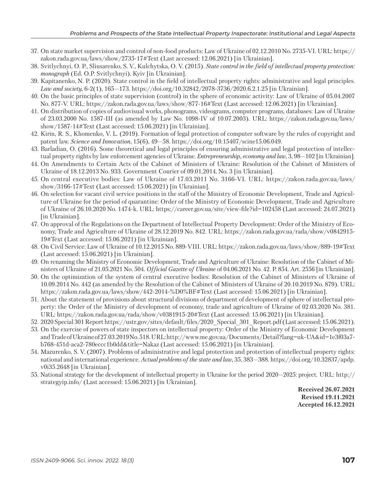- 37. On state market supervision and control of non-food products: Law of Ukraine of 02.12.2010 No. 2735-VI. URL: https:// zakon.rada.gov.ua/laws/show/2735-17#Text (Last accessed: 12.06.2021) [in Ukrainian].
- 38. Svitlychnyi, O. P., Sliusarenko, S. V., Kulchytska, O. V. (2015). *State control in the field of intellectual property protection: monograph* (Ed. O.P. Svitlychnyi). Kyiv [in Ukrainian].
- 39. Kapitanenko, N. P. (2020). State control in the field of intellectual property rights: administrative and legal principles. *Law and society,* 6-2(1), 165—173. https://doi.org/10.32842/2078-3736/2020.6.2.1.25 [in Ukrainian].
- 40. On the basic principles of state supervision (control) in the sphere of economic activity: Law of Ukraine of 05.04.2007 No. 877-V. URL: https://zakon.rada.gov.ua/laws/show/877-16#Text (Last accessed: 12.06.2021) [in Ukrainian].
- 41. On distribution of copies of audiovisual works, phonograms, videograms, computer programs, databases: Law of Ukraine of 23.03.2000 No. 1587-III (as amended by Law No. 1098-IV of 10.07.2003). URL: https://zakon.rada.gov.ua/laws/ show/1587-14#Text (Last accessed: 15.06.2021) [in Ukrainian].
- 42. Kirin, R. S., Khomenko, V. L. (2019). Formation of legal protection of computer software by the rules of copyright and patent law. *Science and Innovation*, 15(6), 49—58. https://doi.org/10.15407/scine15.06.049.
- 43. Barladian, O. (2016). Some theoretical and legal principles of ensuring administrative and legal protection of intellectual property rights by law enforcement agencies of Ukraine. *Entrepreneurship, economy and law,* 3, 98—102 [in Ukrainian].
- 44. On Amendments to Certain Acts of the Cabinet of Ministers of Ukraine: Resolution of the Cabinet of Ministers of Ukraine of 18.12.2013 No. 933. Government Courier of 09.01.2014. No. 3 [in Ukrainian].
- 45. On central executive bodies: Law of Ukraine of 17.03.2011 No. 3166-VI. URL: https://zakon.rada.gov.ua/laws/ show/3166-17#Text (Last accessed: 15.06.2021) [in Ukrainian].
- 46. On selection for vacant civil service positions in the staff of the Ministry of Economic Development, Trade and Agriculture of Ukraine for the period of quarantine: Order of the Ministry of Economic Development, Trade and Agriculture of Ukraine of 26.10.2020 No. 1474-k. URL: https://career.gov.ua/site/view-file?id=102458 (Last accessed: 24.07.2021) [in Ukrainian].
- 47. On approval of the Regulations on the Department of Intellectual Property Development: Order of the Ministry of Economy, Trade and Agriculture of Ukraine of 28.12.2019 No. 842. URL: https://zakon.rada.gov.ua/rada/show/v0842915- 19#Text (Last accessed: 15.06.2021) [in Ukrainian].
- 48. On Civil Service: Law of Ukraine of 10.12.2015 No. 889-VIII. URL: https://zakon.rada.gov.ua/laws/show/889-19#Text (Last accessed: 15.06.2021) [in Ukrainian].
- 49. On renaming the Ministry of Economic Development, Trade and Agriculture of Ukraine: Resolution of the Cabinet of Ministers of Ukraine of 21.05.2021 No. 504. *Official Gazette of Ukraine* of 04.06.2021 No. 42. P. 854. Art. 2556 [in Ukrainian].
- 50. On the optimization of the system of central executive bodies: Resolution of the Cabinet of Ministers of Ukraine of 10.09.2014 No. 442 (as amended by the Resolution of the Cabinet of Ministers of Ukraine of 20.10.2019 No. 879). URL: https://zakon.rada.gov.ua/laws/show/442-2014-%D0%BF#Text (Last accessed: 15.06.2021) [in Ukrainian].
- 51. About the statement of provisions about structural divisions of department of development of sphere of intellectual property: the Order of the Ministry of development of economy, trade and agriculture of Ukraine of 02.03.2020 No. 381. URL: https://zakon.rada.gov.ua/rada/show/v0381915-20#Text (Last accessed: 15.06.2021) [in Ukrainian].
- 52. 2020 Special 301 Report https://ustr.gov/sites/default/files/2020\_Special\_301\_Report.pdf (Last accessed: 15.06.2021).
- 53. On the exercise of powers of state inspectors on intellectual property: Order of the Ministry of Economic Development and Trade of Ukraine of 27.03.2019 No. 518. URL: http://www.me.gov.ua/Documents/Detail?lang=uk-UA&id=1e3f03a7 b768-451d-aca2-780eccc1b0dd&title=Nakaz (Last accessed: 15.06.2021) [in Ukrainian].
- 54. Mazurenko, S. V. (2007). Problems of administrative and legal protection and protection of intellectual property rights: national and international experience. *Actual problems of the state and law,* 35, 383—388. https://doi.org/10.32837/apdp. v0i35.2648 [in Ukrainian].
- 55. National strategy for the development of intellectual property in Ukraine for the period 2020—2025: project. URL: http:// strategyip.info/ (Last accessed: 15.06.2021) [in Ukrainian].

**Received 26.07.2021 Revised 19.11.2021 Accepted 16.12.2021**